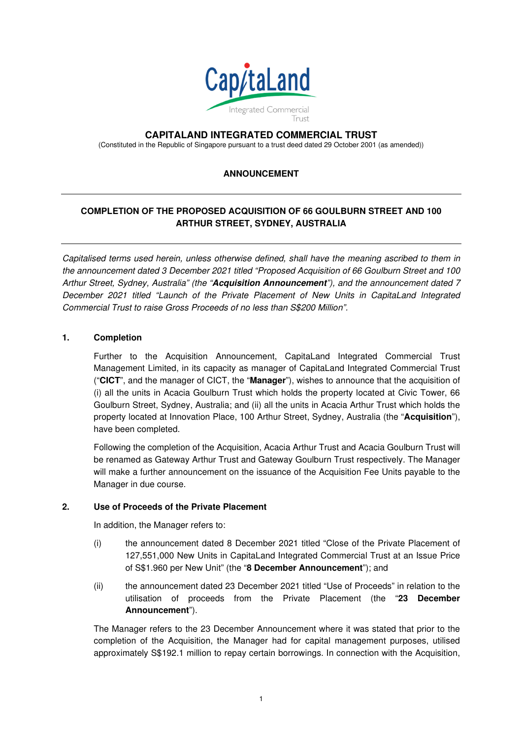

## **CAPITALAND INTEGRATED COMMERCIAL TRUST**

(Constituted in the Republic of Singapore pursuant to a trust deed dated 29 October 2001 (as amended))

## **ANNOUNCEMENT**

# **COMPLETION OF THE PROPOSED ACQUISITION OF 66 GOULBURN STREET AND 100 ARTHUR STREET, SYDNEY, AUSTRALIA**

Capitalised terms used herein, unless otherwise defined, shall have the meaning ascribed to them in the announcement dated 3 December 2021 titled "Proposed Acquisition of 66 Goulburn Street and 100 Arthur Street, Sydney, Australia" (the "**Acquisition Announcement**"), and the announcement dated 7 December 2021 titled "Launch of the Private Placement of New Units in CapitaLand Integrated Commercial Trust to raise Gross Proceeds of no less than S\$200 Million".

### **1. Completion**

Further to the Acquisition Announcement, CapitaLand Integrated Commercial Trust Management Limited, in its capacity as manager of CapitaLand Integrated Commercial Trust ("**CICT**", and the manager of CICT, the "**Manager**"), wishes to announce that the acquisition of (i) all the units in Acacia Goulburn Trust which holds the property located at Civic Tower, 66 Goulburn Street, Sydney, Australia; and (ii) all the units in Acacia Arthur Trust which holds the property located at Innovation Place, 100 Arthur Street, Sydney, Australia (the "**Acquisition**"), have been completed.

Following the completion of the Acquisition, Acacia Arthur Trust and Acacia Goulburn Trust will be renamed as Gateway Arthur Trust and Gateway Goulburn Trust respectively. The Manager will make a further announcement on the issuance of the Acquisition Fee Units payable to the Manager in due course.

### **2. Use of Proceeds of the Private Placement**

In addition, the Manager refers to:

- (i) the announcement dated 8 December 2021 titled "Close of the Private Placement of 127,551,000 New Units in CapitaLand Integrated Commercial Trust at an Issue Price of S\$1.960 per New Unit" (the "**8 December Announcement**"); and
- (ii) the announcement dated 23 December 2021 titled "Use of Proceeds" in relation to the utilisation of proceeds from the Private Placement (the "**23 December Announcement**").

The Manager refers to the 23 December Announcement where it was stated that prior to the completion of the Acquisition, the Manager had for capital management purposes, utilised approximately S\$192.1 million to repay certain borrowings. In connection with the Acquisition,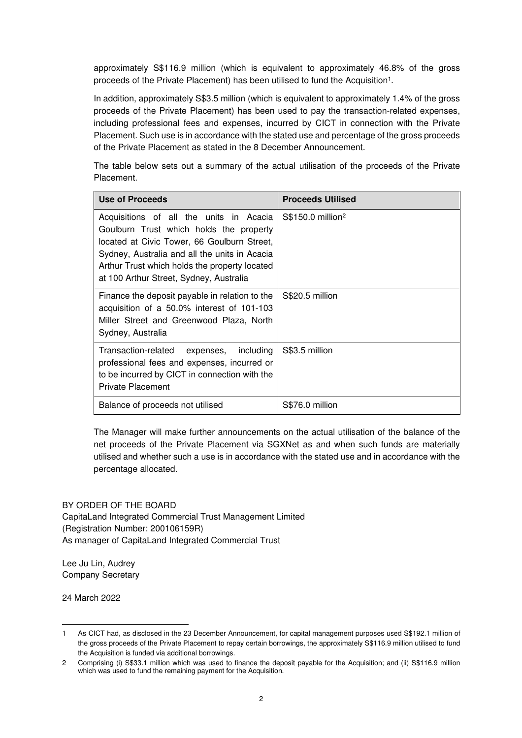approximately S\$116.9 million (which is equivalent to approximately 46.8% of the gross proceeds of the Private Placement) has been utilised to fund the Acquisition<sup>1</sup>.

In addition, approximately S\$3.5 million (which is equivalent to approximately 1.4% of the gross proceeds of the Private Placement) has been used to pay the transaction-related expenses, including professional fees and expenses, incurred by CICT in connection with the Private Placement. Such use is in accordance with the stated use and percentage of the gross proceeds of the Private Placement as stated in the 8 December Announcement.

The table below sets out a summary of the actual utilisation of the proceeds of the Private Placement.

| <b>Use of Proceeds</b>                                                                                                                                                                                                                                                         | <b>Proceeds Utilised</b>       |
|--------------------------------------------------------------------------------------------------------------------------------------------------------------------------------------------------------------------------------------------------------------------------------|--------------------------------|
| Acquisitions of all the units in Acacia<br>Goulburn Trust which holds the property<br>located at Civic Tower, 66 Goulburn Street,<br>Sydney, Australia and all the units in Acacia<br>Arthur Trust which holds the property located<br>at 100 Arthur Street, Sydney, Australia | $$$150.0$ million <sup>2</sup> |
| Finance the deposit payable in relation to the<br>acquisition of a 50.0% interest of 101-103<br>Miller Street and Greenwood Plaza, North<br>Sydney, Australia                                                                                                                  | S\$20.5 million                |
| Transaction-related<br>expenses, including<br>professional fees and expenses, incurred or<br>to be incurred by CICT in connection with the<br><b>Private Placement</b>                                                                                                         | S\$3.5 million                 |
| Balance of proceeds not utilised                                                                                                                                                                                                                                               | S\$76.0 million                |

The Manager will make further announcements on the actual utilisation of the balance of the net proceeds of the Private Placement via SGXNet as and when such funds are materially utilised and whether such a use is in accordance with the stated use and in accordance with the percentage allocated.

#### BY ORDER OF THE BOARD

CapitaLand Integrated Commercial Trust Management Limited (Registration Number: 200106159R) As manager of CapitaLand Integrated Commercial Trust

Lee Ju Lin, Audrey Company Secretary

24 March 2022

<sup>1</sup> As CICT had, as disclosed in the 23 December Announcement, for capital management purposes used S\$192.1 million of the gross proceeds of the Private Placement to repay certain borrowings, the approximately S\$116.9 million utilised to fund the Acquisition is funded via additional borrowings.

<sup>2</sup> Comprising (i) S\$33.1 million which was used to finance the deposit payable for the Acquisition; and (ii) S\$116.9 million which was used to fund the remaining payment for the Acquisition.